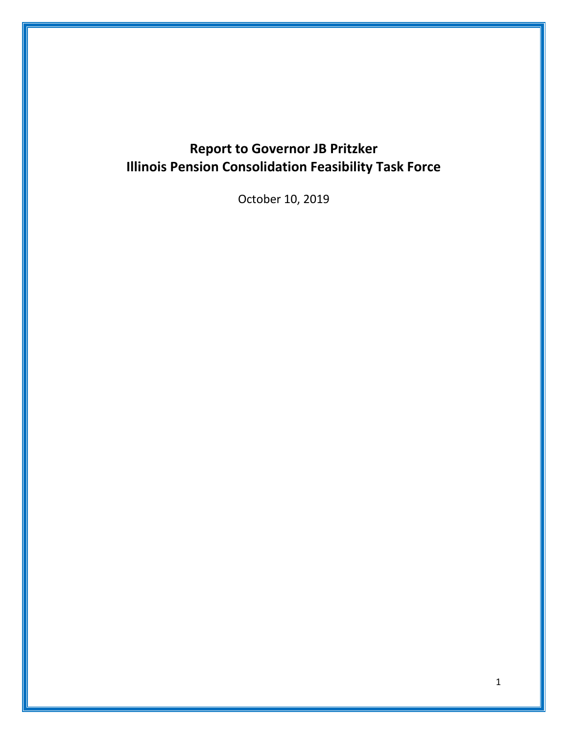# **Report to Governor JB Pritzker Illinois Pension Consolidation Feasibility Task Force**

October 10, 2019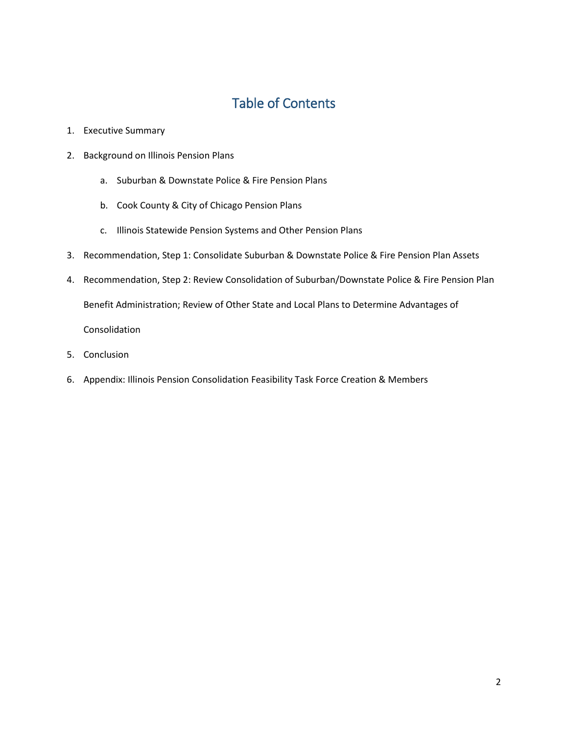## Table of Contents

- 1. Executive Summary
- 2. Background on Illinois Pension Plans
	- a. Suburban & Downstate Police & Fire Pension Plans
	- b. Cook County & City of Chicago Pension Plans
	- c. Illinois Statewide Pension Systems and Other Pension Plans
- 3. Recommendation, Step 1: Consolidate Suburban & Downstate Police & Fire Pension Plan Assets
- 4. Recommendation, Step 2: Review Consolidation of Suburban/Downstate Police & Fire Pension Plan Benefit Administration; Review of Other State and Local Plans to Determine Advantages of Consolidation
- 5. Conclusion
- 6. Appendix: Illinois Pension Consolidation Feasibility Task Force Creation & Members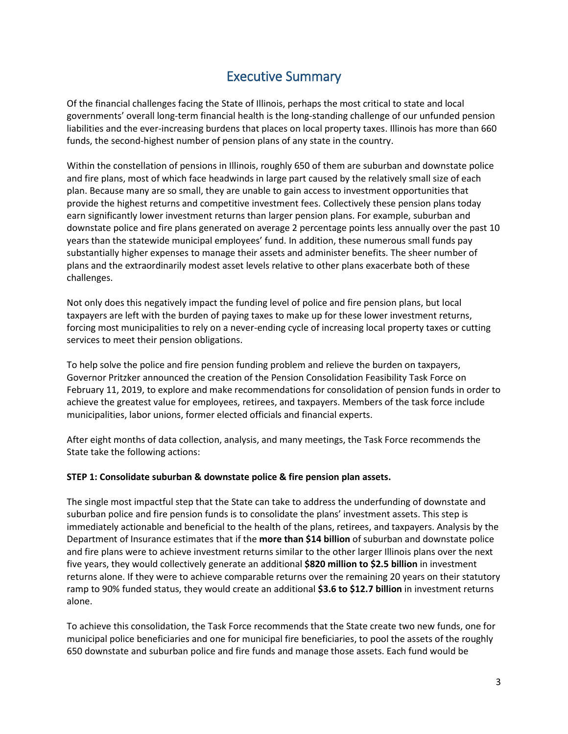### Executive Summary

Of the financial challenges facing the State of Illinois, perhaps the most critical to state and local governments' overall long-term financial health is the long-standing challenge of our unfunded pension liabilities and the ever-increasing burdens that places on local property taxes. Illinois has more than 660 funds, the second-highest number of pension plans of any state in the country.

Within the constellation of pensions in Illinois, roughly 650 of them are suburban and downstate police and fire plans, most of which face headwinds in large part caused by the relatively small size of each plan. Because many are so small, they are unable to gain access to investment opportunities that provide the highest returns and competitive investment fees. Collectively these pension plans today earn significantly lower investment returns than larger pension plans. For example, suburban and downstate police and fire plans generated on average 2 percentage points less annually over the past 10 years than the statewide municipal employees' fund. In addition, these numerous small funds pay substantially higher expenses to manage their assets and administer benefits. The sheer number of plans and the extraordinarily modest asset levels relative to other plans exacerbate both of these challenges.

Not only does this negatively impact the funding level of police and fire pension plans, but local taxpayers are left with the burden of paying taxes to make up for these lower investment returns, forcing most municipalities to rely on a never-ending cycle of increasing local property taxes or cutting services to meet their pension obligations.

To help solve the police and fire pension funding problem and relieve the burden on taxpayers, Governor Pritzker announced the creation of the Pension Consolidation Feasibility Task Force on February 11, 2019, to explore and make recommendations for consolidation of pension funds in order to achieve the greatest value for employees, retirees, and taxpayers. Members of the task force include municipalities, labor unions, former elected officials and financial experts.

After eight months of data collection, analysis, and many meetings, the Task Force recommends the State take the following actions:

#### **STEP 1: Consolidate suburban & downstate police & fire pension plan assets.**

The single most impactful step that the State can take to address the underfunding of downstate and suburban police and fire pension funds is to consolidate the plans' investment assets. This step is immediately actionable and beneficial to the health of the plans, retirees, and taxpayers. Analysis by the Department of Insurance estimates that if the **more than \$14 billion** of suburban and downstate police and fire plans were to achieve investment returns similar to the other larger Illinois plans over the next five years, they would collectively generate an additional **\$820 million to \$2.5 billion** in investment returns alone. If they were to achieve comparable returns over the remaining 20 years on their statutory ramp to 90% funded status, they would create an additional **\$3.6 to \$12.7 billion** in investment returns alone.

To achieve this consolidation, the Task Force recommends that the State create two new funds, one for municipal police beneficiaries and one for municipal fire beneficiaries, to pool the assets of the roughly 650 downstate and suburban police and fire funds and manage those assets. Each fund would be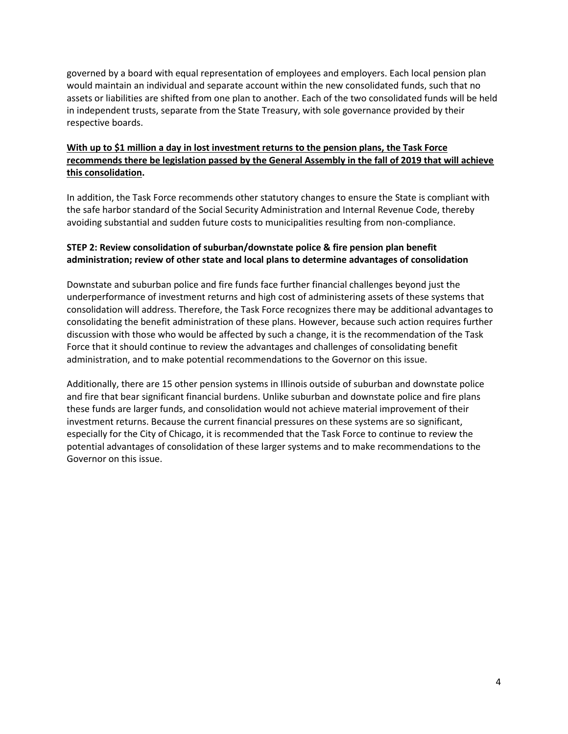governed by a board with equal representation of employees and employers. Each local pension plan would maintain an individual and separate account within the new consolidated funds, such that no assets or liabilities are shifted from one plan to another. Each of the two consolidated funds will be held in independent trusts, separate from the State Treasury, with sole governance provided by their respective boards.

#### **With up to \$1 million a day in lost investment returns to the pension plans, the Task Force recommends there be legislation passed by the General Assembly in the fall of 2019 that will achieve this consolidation.**

In addition, the Task Force recommends other statutory changes to ensure the State is compliant with the safe harbor standard of the Social Security Administration and Internal Revenue Code, thereby avoiding substantial and sudden future costs to municipalities resulting from non-compliance.

#### **STEP 2: Review consolidation of suburban/downstate police & fire pension plan benefit administration; review of other state and local plans to determine advantages of consolidation**

Downstate and suburban police and fire funds face further financial challenges beyond just the underperformance of investment returns and high cost of administering assets of these systems that consolidation will address. Therefore, the Task Force recognizes there may be additional advantages to consolidating the benefit administration of these plans. However, because such action requires further discussion with those who would be affected by such a change, it is the recommendation of the Task Force that it should continue to review the advantages and challenges of consolidating benefit administration, and to make potential recommendations to the Governor on this issue.

Additionally, there are 15 other pension systems in Illinois outside of suburban and downstate police and fire that bear significant financial burdens. Unlike suburban and downstate police and fire plans these funds are larger funds, and consolidation would not achieve material improvement of their investment returns. Because the current financial pressures on these systems are so significant, especially for the City of Chicago, it is recommended that the Task Force to continue to review the potential advantages of consolidation of these larger systems and to make recommendations to the Governor on this issue.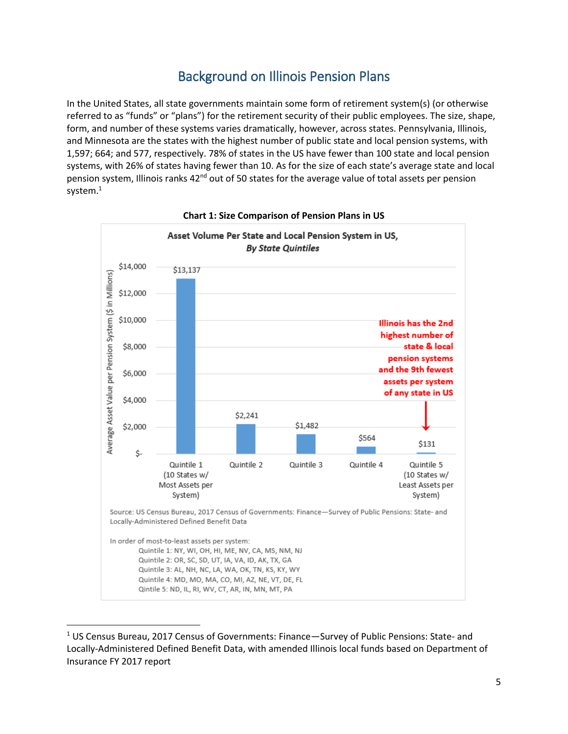### Background on Illinois Pension Plans

In the United States, all state governments maintain some form of retirement system(s) (or otherwise referred to as "funds" or "plans") for the retirement security of their public employees. The size, shape, form, and number of these systems varies dramatically, however, across states. Pennsylvania, Illinois, and Minnesota are the states with the highest number of public state and local pension systems, with 1,597; 664; and 577, respectively. 78% of states in the US have fewer than 100 state and local pension systems, with 26% of states having fewer than 10. As for the size of each state's average state and local pension system, Illinois ranks 42<sup>nd</sup> out of 50 states for the average value of total assets per pension system.<sup>1</sup>





<sup>&</sup>lt;sup>1</sup> US Census Bureau, 2017 Census of Governments: Finance—Survey of Public Pensions: State- and Locally-Administered Defined Benefit Data, with amended Illinois local funds based on Department of Insurance FY 2017 report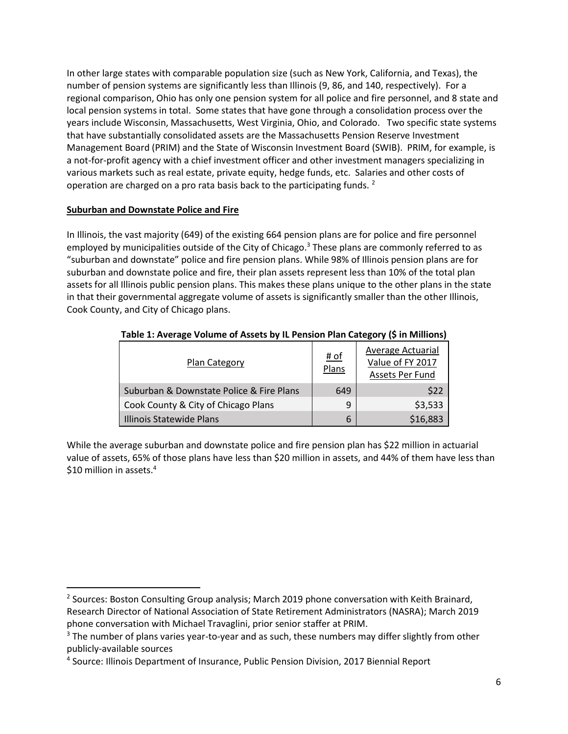In other large states with comparable population size (such as New York, California, and Texas), the number of pension systems are significantly less than Illinois (9, 86, and 140, respectively). For a regional comparison, Ohio has only one pension system for all police and fire personnel, and 8 state and local pension systems in total. Some states that have gone through a consolidation process over the years include Wisconsin, Massachusetts, West Virginia, Ohio, and Colorado. Two specific state systems that have substantially consolidated assets are the Massachusetts Pension Reserve Investment Management Board (PRIM) and the State of Wisconsin Investment Board (SWIB). PRIM, for example, is a not-for-profit agency with a chief investment officer and other investment managers specializing in various markets such as real estate, private equity, hedge funds, etc. Salaries and other costs of operation are charged on a pro rata basis back to the participating funds. <sup>2</sup>

#### **Suburban and Downstate Police and Fire**

In Illinois, the vast majority (649) of the existing 664 pension plans are for police and fire personnel employed by municipalities outside of the City of Chicago. <sup>3</sup> These plans are commonly referred to as "suburban and downstate" police and fire pension plans. While 98% of Illinois pension plans are for suburban and downstate police and fire, their plan assets represent less than 10% of the total plan assets for all Illinois public pension plans. This makes these plans unique to the other plans in the state in that their governmental aggregate volume of assets is significantly smaller than the other Illinois, Cook County, and City of Chicago plans.

| Plan Category                            | <u># of</u><br>Plans | Average Actuarial<br>Value of FY 2017<br>Assets Per Fund |  |
|------------------------------------------|----------------------|----------------------------------------------------------|--|
| Suburban & Downstate Police & Fire Plans | 649                  | S22                                                      |  |
| Cook County & City of Chicago Plans      | 9                    | \$3,533                                                  |  |
| Illinois Statewide Plans                 | 6                    | \$16,883                                                 |  |

#### **Table 1: Average Volume of Assets by IL Pension Plan Category (\$ in Millions)**

While the average suburban and downstate police and fire pension plan has \$22 million in actuarial value of assets, 65% of those plans have less than \$20 million in assets, and 44% of them have less than \$10 million in assets.<sup>4</sup>

<sup>&</sup>lt;sup>2</sup> Sources: Boston Consulting Group analysis; March 2019 phone conversation with Keith Brainard, Research Director of National Association of State Retirement Administrators (NASRA); March 2019 phone conversation with Michael Travaglini, prior senior staffer at PRIM.<br><sup>3</sup> The number of plans varies year-to-year and as such, these numbers may differ slightly from other

publicly-available sources

<sup>4</sup> Source: Illinois Department of Insurance, Public Pension Division, 2017 Biennial Report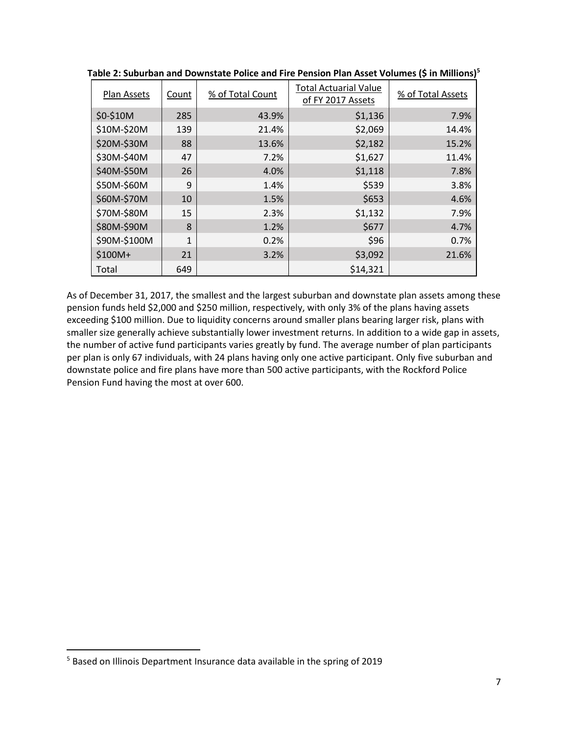| Plan Assets  | Count        | % of Total Count | <b>Total Actuarial Value</b><br>of FY 2017 Assets | % of Total Assets |
|--------------|--------------|------------------|---------------------------------------------------|-------------------|
| \$0-\$10M    | 285          | 43.9%            | \$1,136                                           | 7.9%              |
| \$10M-\$20M  | 139          | 21.4%            | \$2,069                                           | 14.4%             |
| \$20M-\$30M  | 88           | 13.6%            | \$2,182                                           | 15.2%             |
| \$30M-\$40M  | 47           | 7.2%             | \$1,627                                           | 11.4%             |
| \$40M-\$50M  | 26           | 4.0%             | \$1,118                                           | 7.8%              |
| \$50M-\$60M  | 9            | 1.4%             | \$539                                             | 3.8%              |
| \$60M-\$70M  | 10           | 1.5%             | \$653                                             | 4.6%              |
| \$70M-\$80M  | 15           | 2.3%             | \$1,132                                           | 7.9%              |
| \$80M-\$90M  | 8            | 1.2%             | \$677                                             | 4.7%              |
| \$90M-\$100M | $\mathbf{1}$ | 0.2%             | \$96                                              | 0.7%              |
| $$100M+$     | 21           | 3.2%             | \$3,092                                           | 21.6%             |
| Total        | 649          |                  | \$14,321                                          |                   |

**Table 2: Suburban and Downstate Police and Fire Pension Plan Asset Volumes (\$ in Millions)5**

As of December 31, 2017, the smallest and the largest suburban and downstate plan assets among these pension funds held \$2,000 and \$250 million, respectively, with only 3% of the plans having assets exceeding \$100 million. Due to liquidity concerns around smaller plans bearing larger risk, plans with smaller size generally achieve substantially lower investment returns. In addition to a wide gap in assets, the number of active fund participants varies greatly by fund. The average number of plan participants per plan is only 67 individuals, with 24 plans having only one active participant. Only five suburban and downstate police and fire plans have more than 500 active participants, with the Rockford Police Pension Fund having the most at over 600.

 <sup>5</sup> Based on Illinois Department Insurance data available in the spring of 2019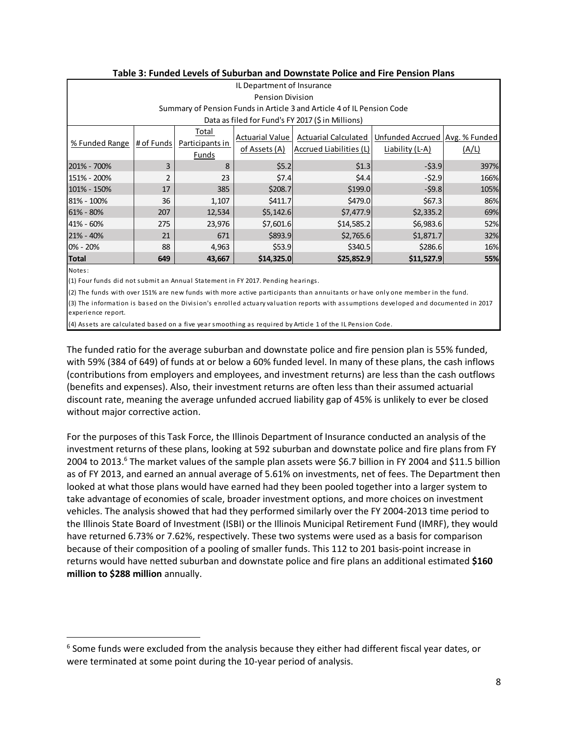| IL Department of Insurance |                         |                 |                 |                                                                        |                                  |       |  |
|----------------------------|-------------------------|-----------------|-----------------|------------------------------------------------------------------------|----------------------------------|-------|--|
|                            | <b>Pension Division</b> |                 |                 |                                                                        |                                  |       |  |
|                            |                         |                 |                 | Summary of Pension Funds in Article 3 and Article 4 of IL Pension Code |                                  |       |  |
|                            |                         |                 |                 | Data as filed for Fund's FY 2017 (\$ in Millions)                      |                                  |       |  |
|                            |                         | Total           | Actuarial Value | Actuarial Calculated                                                   | Unfunded Accrued   Avg. % Funded |       |  |
| % Funded Range             | # of Funds              | Participants in | of Assets (A)   | Accrued Liabilities (L)                                                | Liability (L-A)                  | (A/L) |  |
|                            |                         | Funds           |                 |                                                                        |                                  |       |  |
| 201% - 700%                | 3                       | 8               | \$5.2           | \$1.3                                                                  | $-53.9$                          | 397%  |  |
| 151% - 200%                | 2                       | 23              | \$7.4           | \$4.4                                                                  | $-52.9$                          | 166%  |  |
| 101% - 150%                | 17                      | 385             | \$208.7         | \$199.0                                                                | $-59.8$                          | 105%  |  |
| 81% - 100%                 | 36                      | 1,107           | \$411.7         | \$479.0                                                                | \$67.3                           | 86%   |  |
| 61% - 80%                  | 207                     | 12,534          | \$5,142.6       | \$7,477.9                                                              | \$2,335.2                        | 69%   |  |
| 41% - 60%                  | 275                     | 23,976          | \$7,601.6       | \$14,585.2                                                             | \$6,983.6                        | 52%   |  |
| 21% - 40%                  | 21                      | 671             | \$893.9         | \$2,765.6                                                              | \$1,871.7                        | 32%   |  |
| 0% - 20%                   | 88                      | 4,963           | \$53.9          | \$340.5                                                                | \$286.6                          | 16%   |  |
| <b>Total</b>               | 649                     | 43,667          | \$14,325.0      | \$25,852.9                                                             | \$11,527.9                       | 55%   |  |
| Notes:                     |                         |                 |                 |                                                                        |                                  |       |  |

(1) Four funds did not submit an Annual Statement in FY 2017. Pending hearings.

(2) The funds with over 151% are new funds with more active participants than annuitants or have only one member in the fund.

(3) The information is based on the Division's enrolled actuary valuation reports with assumptions developed and documented in 2017 experience report.

(4) Assets are calculated based on a five year smoothing as required by Article 1 of the IL Pension Code.

The funded ratio for the average suburban and downstate police and fire pension plan is 55% funded, with 59% (384 of 649) of funds at or below a 60% funded level. In many of these plans, the cash inflows (contributions from employers and employees, and investment returns) are less than the cash outflows (benefits and expenses). Also, their investment returns are often less than their assumed actuarial discount rate, meaning the average unfunded accrued liability gap of 45% is unlikely to ever be closed without major corrective action.

For the purposes of this Task Force, the Illinois Department of Insurance conducted an analysis of the investment returns of these plans, looking at 592 suburban and downstate police and fire plans from FY 2004 to 2013.<sup>6</sup> The market values of the sample plan assets were \$6.7 billion in FY 2004 and \$11.5 billion as of FY 2013, and earned an annual average of 5.61% on investments, net of fees. The Department then looked at what those plans would have earned had they been pooled together into a larger system to take advantage of economies of scale, broader investment options, and more choices on investment vehicles. The analysis showed that had they performed similarly over the FY 2004-2013 time period to the Illinois State Board of Investment (ISBI) or the Illinois Municipal Retirement Fund (IMRF), they would have returned 6.73% or 7.62%, respectively. These two systems were used as a basis for comparison because of their composition of a pooling of smaller funds. This 112 to 201 basis-point increase in returns would have netted suburban and downstate police and fire plans an additional estimated **\$160 million to \$288 million** annually.

 $6$  Some funds were excluded from the analysis because they either had different fiscal year dates, or were terminated at some point during the 10-year period of analysis.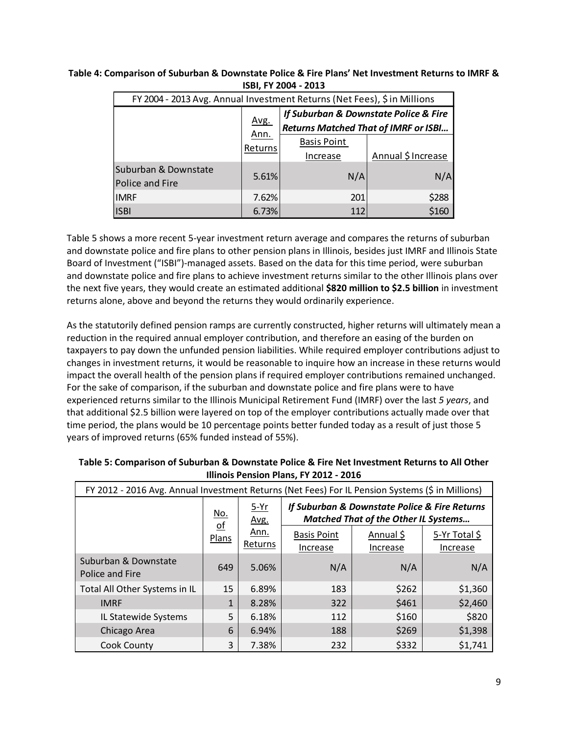| FY 2004 - 2013 Avg. Annual Investment Returns (Net Fees), \$ in Millions |                         |                                                                                      |                    |  |  |
|--------------------------------------------------------------------------|-------------------------|--------------------------------------------------------------------------------------|--------------------|--|--|
|                                                                          | Avg.<br>Ann.<br>Returns | If Suburban & Downstate Police & Fire<br><b>Returns Matched That of IMRF or ISBI</b> |                    |  |  |
|                                                                          |                         | <b>Basis Point</b>                                                                   |                    |  |  |
|                                                                          |                         | Increase                                                                             | Annual \$ Increase |  |  |
| Suburban & Downstate<br>Police and Fire                                  | 5.61%                   | N/A                                                                                  | N/A                |  |  |
| <b>IMRF</b>                                                              | 7.62%                   | 201                                                                                  | \$288              |  |  |
| <b>ISBI</b>                                                              | 6.73%                   | 112                                                                                  | \$160              |  |  |

#### **Table 4: Comparison of Suburban & Downstate Police & Fire Plans' Net Investment Returns to IMRF & ISBI, FY 2004 - 2013**

Table 5 shows a more recent 5-year investment return average and compares the returns of suburban and downstate police and fire plans to other pension plans in Illinois, besides just IMRF and Illinois State Board of Investment ("ISBI")-managed assets. Based on the data for this time period, were suburban and downstate police and fire plans to achieve investment returns similar to the other Illinois plans over the next five years, they would create an estimated additional **\$820 million to \$2.5 billion** in investment returns alone, above and beyond the returns they would ordinarily experience.

As the statutorily defined pension ramps are currently constructed, higher returns will ultimately mean a reduction in the required annual employer contribution, and therefore an easing of the burden on taxpayers to pay down the unfunded pension liabilities. While required employer contributions adjust to changes in investment returns, it would be reasonable to inquire how an increase in these returns would impact the overall health of the pension plans if required employer contributions remained unchanged. For the sake of comparison, if the suburban and downstate police and fire plans were to have experienced returns similar to the Illinois Municipal Retirement Fund (IMRF) over the last *5 years*, and that additional \$2.5 billion were layered on top of the employer contributions actually made over that time period, the plans would be 10 percentage points better funded today as a result of just those 5 years of improved returns (65% funded instead of 55%).

| FY 2012 - 2016 Avg. Annual Investment Returns (Net Fees) For IL Pension Systems (\$ in Millions) |                                                  |                                   |                                                                                              |                       |                           |
|--------------------------------------------------------------------------------------------------|--------------------------------------------------|-----------------------------------|----------------------------------------------------------------------------------------------|-----------------------|---------------------------|
|                                                                                                  | <u>No.</u><br>$\underline{\mathsf{of}}$<br>Plans | $5-Yr$<br>Avg.<br>Ann.<br>Returns | If Suburban & Downstate Police & Fire Returns<br><b>Matched That of the Other IL Systems</b> |                       |                           |
|                                                                                                  |                                                  |                                   | <b>Basis Point</b><br>Increase                                                               | Annual \$<br>Increase | 5-Yr Total \$<br>Increase |
| Suburban & Downstate<br>Police and Fire                                                          | 649                                              | 5.06%                             | N/A                                                                                          | N/A                   | N/A                       |
| Total All Other Systems in IL                                                                    | 15                                               | 6.89%                             | 183                                                                                          | \$262                 | \$1,360                   |
| <b>IMRF</b>                                                                                      | $\mathbf{1}$                                     | 8.28%                             | 322                                                                                          | \$461                 | \$2,460                   |
| IL Statewide Systems                                                                             | 5                                                | 6.18%                             | 112                                                                                          | \$160                 | \$820                     |
| Chicago Area                                                                                     | 6                                                | 6.94%                             | 188                                                                                          | \$269                 | \$1,398                   |
| Cook County                                                                                      | 3                                                | 7.38%                             | 232                                                                                          | \$332                 | \$1,741                   |

#### **Table 5: Comparison of Suburban & Downstate Police & Fire Net Investment Returns to All Other Illinois Pension Plans, FY 2012 - 2016**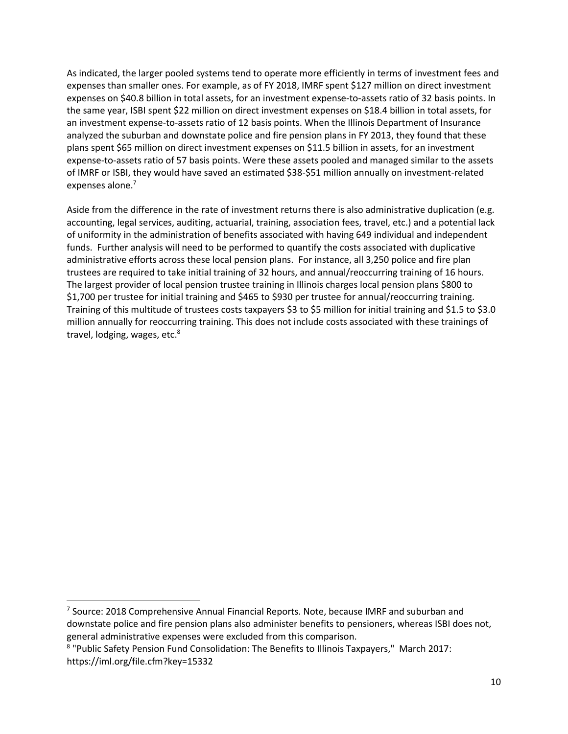As indicated, the larger pooled systems tend to operate more efficiently in terms of investment fees and expenses than smaller ones. For example, as of FY 2018, IMRF spent \$127 million on direct investment expenses on \$40.8 billion in total assets, for an investment expense-to-assets ratio of 32 basis points. In the same year, ISBI spent \$22 million on direct investment expenses on \$18.4 billion in total assets, for an investment expense-to-assets ratio of 12 basis points. When the Illinois Department of Insurance analyzed the suburban and downstate police and fire pension plans in FY 2013, they found that these plans spent \$65 million on direct investment expenses on \$11.5 billion in assets, for an investment expense-to-assets ratio of 57 basis points. Were these assets pooled and managed similar to the assets of IMRF or ISBI, they would have saved an estimated \$38-\$51 million annually on investment-related expenses alone. 7

Aside from the difference in the rate of investment returns there is also administrative duplication (e.g. accounting, legal services, auditing, actuarial, training, association fees, travel, etc.) and a potential lack of uniformity in the administration of benefits associated with having 649 individual and independent funds. Further analysis will need to be performed to quantify the costs associated with duplicative administrative efforts across these local pension plans. For instance, all 3,250 police and fire plan trustees are required to take initial training of 32 hours, and annual/reoccurring training of 16 hours. The largest provider of local pension trustee training in Illinois charges local pension plans \$800 to \$1,700 per trustee for initial training and \$465 to \$930 per trustee for annual/reoccurring training. Training of this multitude of trustees costs taxpayers \$3 to \$5 million for initial training and \$1.5 to \$3.0 million annually for reoccurring training. This does not include costs associated with these trainings of travel, lodging, wages, etc.<sup>8</sup>

 <sup>7</sup> Source: 2018 Comprehensive Annual Financial Reports. Note, because IMRF and suburban and downstate police and fire pension plans also administer benefits to pensioners, whereas ISBI does not, general administrative expenses were excluded from this comparison.

<sup>8</sup> "Public Safety Pension Fund Consolidation: The Benefits to Illinois Taxpayers," March 2017: https://iml.org/file.cfm?key=15332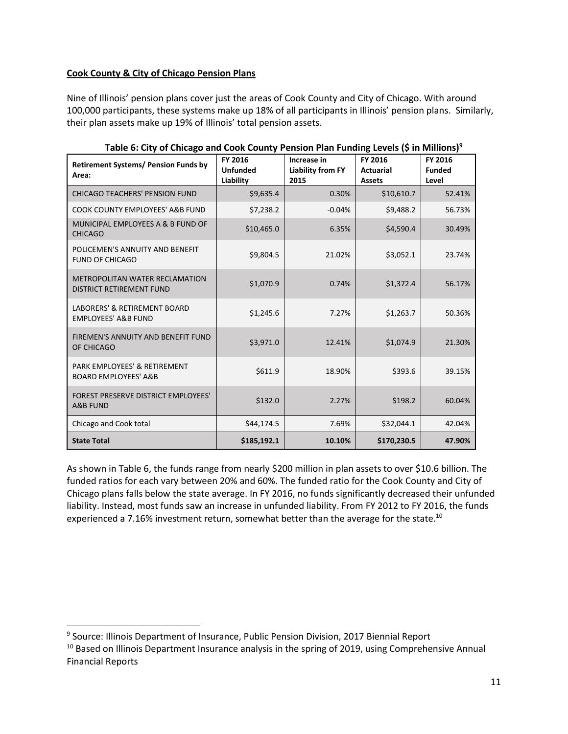#### **Cook County & City of Chicago Pension Plans**

Nine of Illinois' pension plans cover just the areas of Cook County and City of Chicago. With around 100,000 participants, these systems make up 18% of all participants in Illinois' pension plans. Similarly, their plan assets make up 19% of Illinois' total pension assets.

| <b>Retirement Systems/ Pension Funds by</b><br>Area:                      | FY 2016<br><b>Unfunded</b><br>Liability | Increase in<br><b>Liability from FY</b><br>2015 | FY 2016<br><b>Actuarial</b><br><b>Assets</b> | FY 2016<br><b>Funded</b><br>Level |
|---------------------------------------------------------------------------|-----------------------------------------|-------------------------------------------------|----------------------------------------------|-----------------------------------|
| CHICAGO TEACHERS' PENSION FUND                                            | \$9,635.4                               | 0.30%                                           | \$10,610.7                                   | 52.41%                            |
| COOK COUNTY EMPLOYEES' A&B FUND                                           | \$7,238.2                               | $-0.04%$                                        | \$9,488.2                                    | 56.73%                            |
| MUNICIPAL EMPLOYEES A & B FUND OF<br><b>CHICAGO</b>                       | \$10,465.0                              | 6.35%                                           | \$4,590.4                                    | 30.49%                            |
| POLICEMEN'S ANNUITY AND BENEFIT<br><b>FUND OF CHICAGO</b>                 | \$9,804.5                               | 21.02%                                          | \$3,052.1                                    | 23.74%                            |
| METROPOLITAN WATER RECLAMATION<br><b>DISTRICT RETIREMENT FUND</b>         | \$1,070.9                               | 0.74%                                           | \$1,372.4                                    | 56.17%                            |
| <b>LABORERS' &amp; RETIREMENT BOARD</b><br><b>EMPLOYEES' A&amp;B FUND</b> | \$1,245.6                               | 7.27%                                           | \$1,263.7                                    | 50.36%                            |
| FIREMEN'S ANNUITY AND BENEFIT FUND<br>OF CHICAGO                          | \$3,971.0                               | 12.41%                                          | \$1.074.9                                    | 21.30%                            |
| PARK EMPLOYEES' & RETIREMENT<br><b>BOARD EMPLOYEES' A&amp;B</b>           | \$611.9                                 | 18.90%                                          | \$393.6                                      | 39.15%                            |
| <b>FOREST PRESERVE DISTRICT EMPLOYEES'</b><br><b>A&amp;B FUND</b>         | \$132.0                                 | 2.27%                                           | \$198.2                                      | 60.04%                            |
| Chicago and Cook total                                                    | \$44,174.5                              | 7.69%                                           | \$32,044.1                                   | 42.04%                            |
| <b>State Total</b>                                                        | \$185,192.1                             | 10.10%                                          | \$170,230.5                                  | 47.90%                            |

**Table 6: City of Chicago and Cook County Pension Plan Funding Levels (\$ in Millions)9**

As shown in Table 6, the funds range from nearly \$200 million in plan assets to over \$10.6 billion. The funded ratios for each vary between 20% and 60%. The funded ratio for the Cook County and City of Chicago plans falls below the state average. In FY 2016, no funds significantly decreased their unfunded liability. Instead, most funds saw an increase in unfunded liability. From FY 2012 to FY 2016, the funds experienced a 7.16% investment return, somewhat better than the average for the state.<sup>10</sup>

<sup>&</sup>lt;sup>9</sup> Source: Illinois Department of Insurance, Public Pension Division, 2017 Biennial Report

<sup>&</sup>lt;sup>10</sup> Based on Illinois Department Insurance analysis in the spring of 2019, using Comprehensive Annual Financial Reports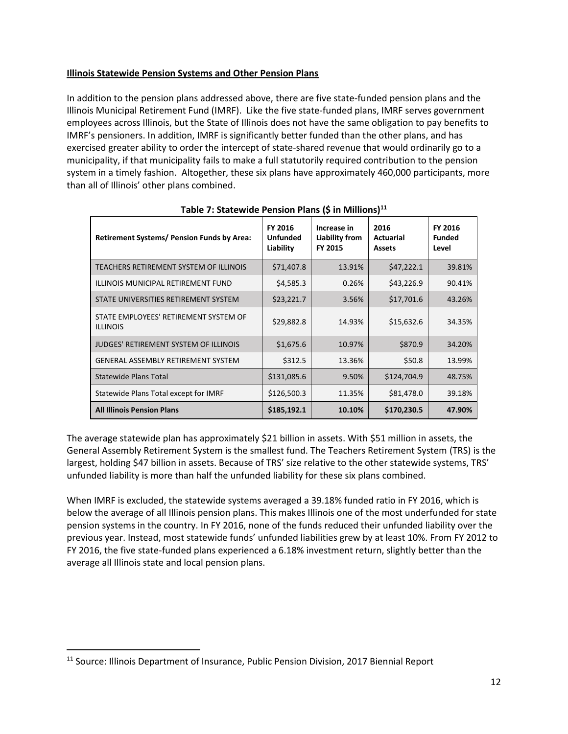#### **Illinois Statewide Pension Systems and Other Pension Plans**

In addition to the pension plans addressed above, there are five state-funded pension plans and the Illinois Municipal Retirement Fund (IMRF). Like the five state-funded plans, IMRF serves government employees across Illinois, but the State of Illinois does not have the same obligation to pay benefits to IMRF's pensioners. In addition, IMRF is significantly better funded than the other plans, and has exercised greater ability to order the intercept of state-shared revenue that would ordinarily go to a municipality, if that municipality fails to make a full statutorily required contribution to the pension system in a timely fashion. Altogether, these six plans have approximately 460,000 participants, more than all of Illinois' other plans combined.

| <b>Retirement Systems/ Pension Funds by Area:</b>        | FY 2016<br><b>Unfunded</b><br>Liability | Increase in<br>Liability from<br>FY 2015 | 2016<br><b>Actuarial</b><br><b>Assets</b> | <b>FY 2016</b><br><b>Funded</b><br>Level |
|----------------------------------------------------------|-----------------------------------------|------------------------------------------|-------------------------------------------|------------------------------------------|
| TEACHERS RETIREMENT SYSTEM OF ILLINOIS                   | \$71,407.8                              | 13.91%                                   | \$47,222.1                                | 39.81%                                   |
| ILLINOIS MUNICIPAL RETIREMENT FUND                       | \$4,585.3                               | 0.26%                                    | \$43,226.9                                | 90.41%                                   |
| STATE UNIVERSITIES RETIREMENT SYSTEM                     | \$23,221.7                              | 3.56%                                    | \$17,701.6                                | 43.26%                                   |
| STATE EMPLOYEES' RETIREMENT SYSTEM OF<br><b>ILLINOIS</b> | \$29,882.8                              | 14.93%                                   | \$15,632.6                                | 34.35%                                   |
| <b>JUDGES' RETIREMENT SYSTEM OF ILLINOIS</b>             | \$1,675.6                               | 10.97%                                   | \$870.9                                   | 34.20%                                   |
| <b>GENERAL ASSEMBLY RETIREMENT SYSTEM</b>                | \$312.5                                 | 13.36%                                   | \$50.8                                    | 13.99%                                   |
| <b>Statewide Plans Total</b>                             | \$131,085.6                             | 9.50%                                    | \$124,704.9                               | 48.75%                                   |
| Statewide Plans Total except for IMRF                    | \$126,500.3                             | 11.35%                                   | \$81,478.0                                | 39.18%                                   |
| <b>All Illinois Pension Plans</b>                        | \$185,192.1                             | 10.10%                                   | \$170,230.5                               | 47.90%                                   |

**Table 7: Statewide Pension Plans (\$ in Millions)11**

The average statewide plan has approximately \$21 billion in assets. With \$51 million in assets, the General Assembly Retirement System is the smallest fund. The Teachers Retirement System (TRS) is the largest, holding \$47 billion in assets. Because of TRS' size relative to the other statewide systems, TRS' unfunded liability is more than half the unfunded liability for these six plans combined.

When IMRF is excluded, the statewide systems averaged a 39.18% funded ratio in FY 2016, which is below the average of all Illinois pension plans. This makes Illinois one of the most underfunded for state pension systems in the country. In FY 2016, none of the funds reduced their unfunded liability over the previous year. Instead, most statewide funds' unfunded liabilities grew by at least 10%. From FY 2012 to FY 2016, the five state-funded plans experienced a 6.18% investment return, slightly better than the average all Illinois state and local pension plans.

<sup>&</sup>lt;sup>11</sup> Source: Illinois Department of Insurance, Public Pension Division, 2017 Biennial Report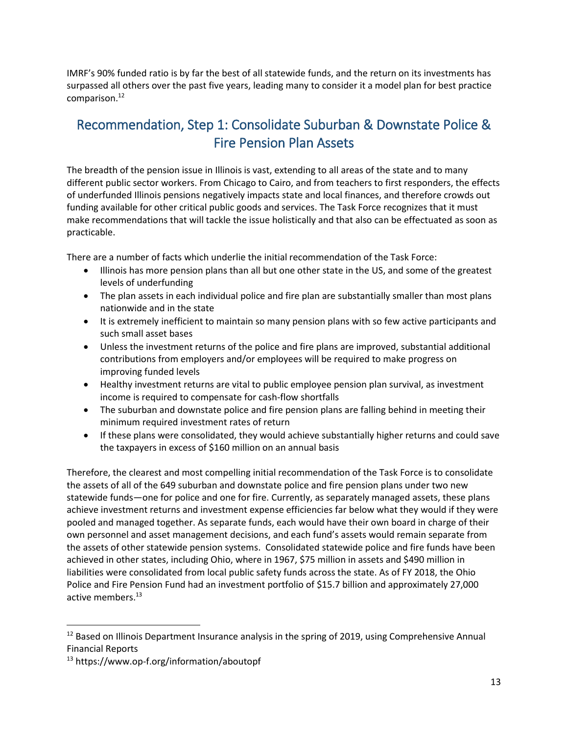IMRF's 90% funded ratio is by far the best of all statewide funds, and the return on its investments has surpassed all others over the past five years, leading many to consider it a model plan for best practice comparison. 12

## Recommendation, Step 1: Consolidate Suburban & Downstate Police & Fire Pension Plan Assets

The breadth of the pension issue in Illinois is vast, extending to all areas of the state and to many different public sector workers. From Chicago to Cairo, and from teachers to first responders, the effects of underfunded Illinois pensions negatively impacts state and local finances, and therefore crowds out funding available for other critical public goods and services. The Task Force recognizes that it must make recommendations that will tackle the issue holistically and that also can be effectuated as soon as practicable.

There are a number of facts which underlie the initial recommendation of the Task Force:

- Illinois has more pension plans than all but one other state in the US, and some of the greatest levels of underfunding
- The plan assets in each individual police and fire plan are substantially smaller than most plans nationwide and in the state
- It is extremely inefficient to maintain so many pension plans with so few active participants and such small asset bases
- Unless the investment returns of the police and fire plans are improved, substantial additional contributions from employers and/or employees will be required to make progress on improving funded levels
- Healthy investment returns are vital to public employee pension plan survival, as investment income is required to compensate for cash-flow shortfalls
- The suburban and downstate police and fire pension plans are falling behind in meeting their minimum required investment rates of return
- If these plans were consolidated, they would achieve substantially higher returns and could save the taxpayers in excess of \$160 million on an annual basis

Therefore, the clearest and most compelling initial recommendation of the Task Force is to consolidate the assets of all of the 649 suburban and downstate police and fire pension plans under two new statewide funds—one for police and one for fire. Currently, as separately managed assets, these plans achieve investment returns and investment expense efficiencies far below what they would if they were pooled and managed together. As separate funds, each would have their own board in charge of their own personnel and asset management decisions, and each fund's assets would remain separate from the assets of other statewide pension systems. Consolidated statewide police and fire funds have been achieved in other states, including Ohio, where in 1967, \$75 million in assets and \$490 million in liabilities were consolidated from local public safety funds across the state. As of FY 2018, the Ohio Police and Fire Pension Fund had an investment portfolio of \$15.7 billion and approximately 27,000 active members.<sup>13</sup>

<sup>&</sup>lt;sup>12</sup> Based on Illinois Department Insurance analysis in the spring of 2019, using Comprehensive Annual Financial Reports

<sup>13</sup> https://www.op-f.org/information/aboutopf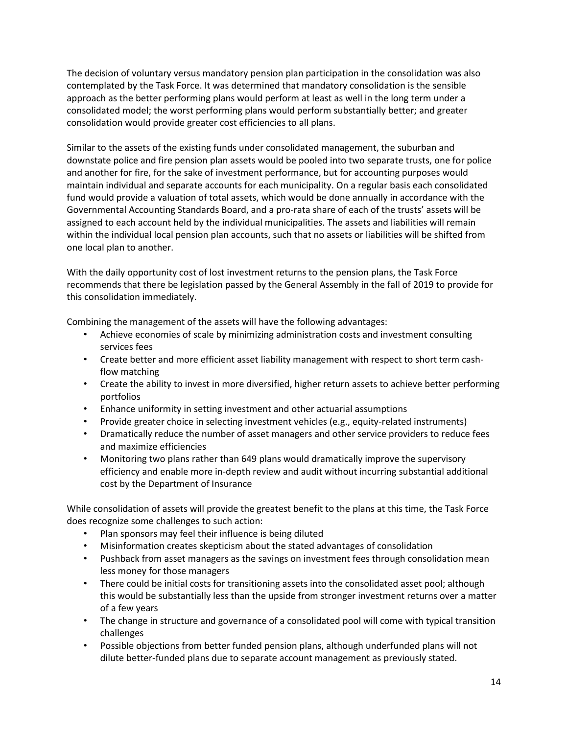The decision of voluntary versus mandatory pension plan participation in the consolidation was also contemplated by the Task Force. It was determined that mandatory consolidation is the sensible approach as the better performing plans would perform at least as well in the long term under a consolidated model; the worst performing plans would perform substantially better; and greater consolidation would provide greater cost efficiencies to all plans.

Similar to the assets of the existing funds under consolidated management, the suburban and downstate police and fire pension plan assets would be pooled into two separate trusts, one for police and another for fire, for the sake of investment performance, but for accounting purposes would maintain individual and separate accounts for each municipality. On a regular basis each consolidated fund would provide a valuation of total assets, which would be done annually in accordance with the Governmental Accounting Standards Board, and a pro-rata share of each of the trusts' assets will be assigned to each account held by the individual municipalities. The assets and liabilities will remain within the individual local pension plan accounts, such that no assets or liabilities will be shifted from one local plan to another.

With the daily opportunity cost of lost investment returns to the pension plans, the Task Force recommends that there be legislation passed by the General Assembly in the fall of 2019 to provide for this consolidation immediately.

Combining the management of the assets will have the following advantages:

- Achieve economies of scale by minimizing administration costs and investment consulting services fees
- Create better and more efficient asset liability management with respect to short term cashflow matching
- Create the ability to invest in more diversified, higher return assets to achieve better performing portfolios
- Enhance uniformity in setting investment and other actuarial assumptions
- Provide greater choice in selecting investment vehicles (e.g., equity-related instruments)
- Dramatically reduce the number of asset managers and other service providers to reduce fees and maximize efficiencies
- Monitoring two plans rather than 649 plans would dramatically improve the supervisory efficiency and enable more in-depth review and audit without incurring substantial additional cost by the Department of Insurance

While consolidation of assets will provide the greatest benefit to the plans at this time, the Task Force does recognize some challenges to such action:

- Plan sponsors may feel their influence is being diluted
- Misinformation creates skepticism about the stated advantages of consolidation
- Pushback from asset managers as the savings on investment fees through consolidation mean less money for those managers
- There could be initial costs for transitioning assets into the consolidated asset pool; although this would be substantially less than the upside from stronger investment returns over a matter of a few years
- The change in structure and governance of a consolidated pool will come with typical transition challenges
- Possible objections from better funded pension plans, although underfunded plans will not dilute better-funded plans due to separate account management as previously stated.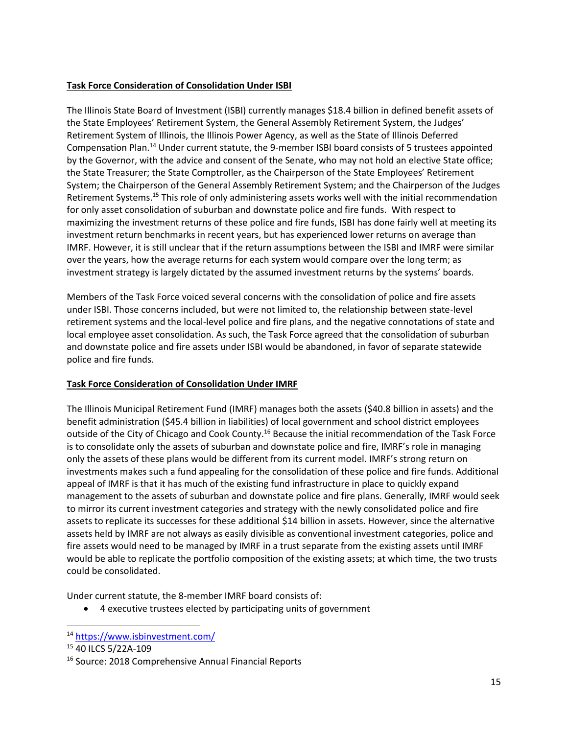#### **Task Force Consideration of Consolidation Under ISBI**

The Illinois State Board of Investment (ISBI) currently manages \$18.4 billion in defined benefit assets of the State Employees' Retirement System, the General Assembly Retirement System, the Judges' Retirement System of Illinois, the Illinois Power Agency, as well as the State of Illinois Deferred Compensation Plan.14 Under current statute, the 9-member ISBI board consists of 5 trustees appointed by the Governor, with the advice and consent of the Senate, who may not hold an elective State office; the State Treasurer; the State Comptroller, as the Chairperson of the State Employees' Retirement System; the Chairperson of the General Assembly Retirement System; and the Chairperson of the Judges Retirement Systems.15 This role of only administering assets works well with the initial recommendation for only asset consolidation of suburban and downstate police and fire funds. With respect to maximizing the investment returns of these police and fire funds, ISBI has done fairly well at meeting its investment return benchmarks in recent years, but has experienced lower returns on average than IMRF. However, it is still unclear that if the return assumptions between the ISBI and IMRF were similar over the years, how the average returns for each system would compare over the long term; as investment strategy is largely dictated by the assumed investment returns by the systems' boards.

Members of the Task Force voiced several concerns with the consolidation of police and fire assets under ISBI. Those concerns included, but were not limited to, the relationship between state-level retirement systems and the local-level police and fire plans, and the negative connotations of state and local employee asset consolidation. As such, the Task Force agreed that the consolidation of suburban and downstate police and fire assets under ISBI would be abandoned, in favor of separate statewide police and fire funds.

#### **Task Force Consideration of Consolidation Under IMRF**

The Illinois Municipal Retirement Fund (IMRF) manages both the assets (\$40.8 billion in assets) and the benefit administration (\$45.4 billion in liabilities) of local government and school district employees outside of the City of Chicago and Cook County.16 Because the initial recommendation of the Task Force is to consolidate only the assets of suburban and downstate police and fire, IMRF's role in managing only the assets of these plans would be different from its current model. IMRF's strong return on investments makes such a fund appealing for the consolidation of these police and fire funds. Additional appeal of IMRF is that it has much of the existing fund infrastructure in place to quickly expand management to the assets of suburban and downstate police and fire plans. Generally, IMRF would seek to mirror its current investment categories and strategy with the newly consolidated police and fire assets to replicate its successes for these additional \$14 billion in assets. However, since the alternative assets held by IMRF are not always as easily divisible as conventional investment categories, police and fire assets would need to be managed by IMRF in a trust separate from the existing assets until IMRF would be able to replicate the portfolio composition of the existing assets; at which time, the two trusts could be consolidated.

Under current statute, the 8-member IMRF board consists of:

• 4 executive trustees elected by participating units of government

 <sup>14</sup> <https://www.isbinvestment.com/>

<sup>15</sup> 40 ILCS 5/22A-109

<sup>16</sup> Source: 2018 Comprehensive Annual Financial Reports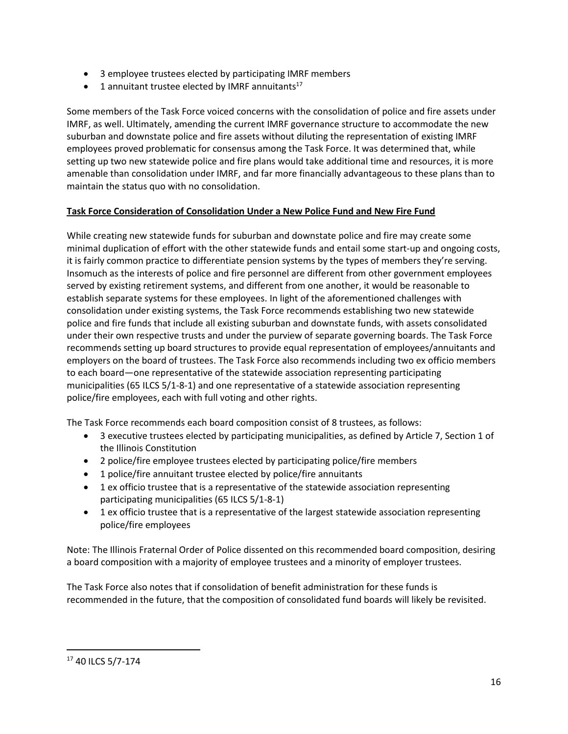- 3 employee trustees elected by participating IMRF members
- $\bullet$  1 annuitant trustee elected by IMRF annuitants<sup>17</sup>

Some members of the Task Force voiced concerns with the consolidation of police and fire assets under IMRF, as well. Ultimately, amending the current IMRF governance structure to accommodate the new suburban and downstate police and fire assets without diluting the representation of existing IMRF employees proved problematic for consensus among the Task Force. It was determined that, while setting up two new statewide police and fire plans would take additional time and resources, it is more amenable than consolidation under IMRF, and far more financially advantageous to these plans than to maintain the status quo with no consolidation.

#### **Task Force Consideration of Consolidation Under a New Police Fund and New Fire Fund**

While creating new statewide funds for suburban and downstate police and fire may create some minimal duplication of effort with the other statewide funds and entail some start-up and ongoing costs, it is fairly common practice to differentiate pension systems by the types of members they're serving. Insomuch as the interests of police and fire personnel are different from other government employees served by existing retirement systems, and different from one another, it would be reasonable to establish separate systems for these employees. In light of the aforementioned challenges with consolidation under existing systems, the Task Force recommends establishing two new statewide police and fire funds that include all existing suburban and downstate funds, with assets consolidated under their own respective trusts and under the purview of separate governing boards. The Task Force recommends setting up board structures to provide equal representation of employees/annuitants and employers on the board of trustees. The Task Force also recommends including two ex officio members to each board—one representative of the statewide association representing participating municipalities (65 ILCS 5/1-8-1) and one representative of a statewide association representing police/fire employees, each with full voting and other rights.

The Task Force recommends each board composition consist of 8 trustees, as follows:

- 3 executive trustees elected by participating municipalities, as defined by Article 7, Section 1 of the Illinois Constitution
- 2 police/fire employee trustees elected by participating police/fire members
- 1 police/fire annuitant trustee elected by police/fire annuitants
- 1 ex officio trustee that is a representative of the statewide association representing participating municipalities (65 ILCS 5/1-8-1)
- 1 ex officio trustee that is a representative of the largest statewide association representing police/fire employees

Note: The Illinois Fraternal Order of Police dissented on this recommended board composition, desiring a board composition with a majority of employee trustees and a minority of employer trustees.

The Task Force also notes that if consolidation of benefit administration for these funds is recommended in the future, that the composition of consolidated fund boards will likely be revisited.

 <sup>17</sup> 40 ILCS 5/7-174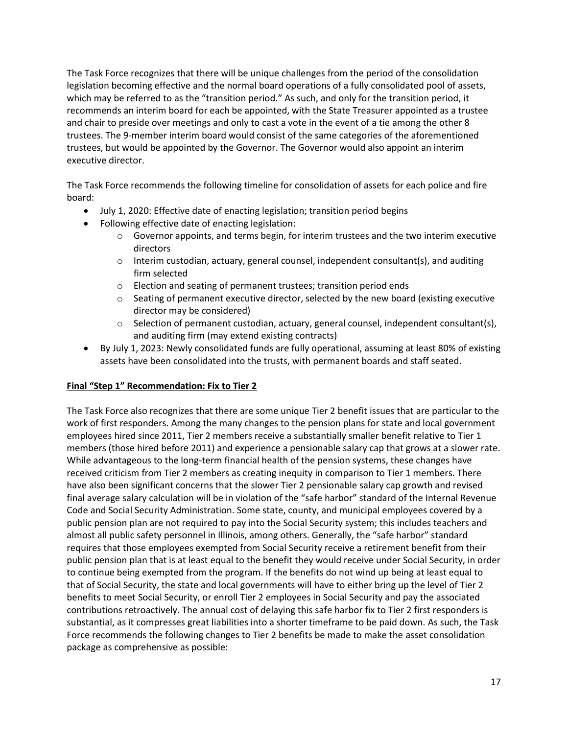The Task Force recognizes that there will be unique challenges from the period of the consolidation legislation becoming effective and the normal board operations of a fully consolidated pool of assets, which may be referred to as the "transition period." As such, and only for the transition period, it recommends an interim board for each be appointed, with the State Treasurer appointed as a trustee and chair to preside over meetings and only to cast a vote in the event of a tie among the other 8 trustees. The 9-member interim board would consist of the same categories of the aforementioned trustees, but would be appointed by the Governor. The Governor would also appoint an interim executive director.

The Task Force recommends the following timeline for consolidation of assets for each police and fire board:

- July 1, 2020: Effective date of enacting legislation; transition period begins
- Following effective date of enacting legislation:
	- $\circ$  Governor appoints, and terms begin, for interim trustees and the two interim executive directors
	- $\circ$  Interim custodian, actuary, general counsel, independent consultant(s), and auditing firm selected
	- o Election and seating of permanent trustees; transition period ends
	- $\circ$  Seating of permanent executive director, selected by the new board (existing executive director may be considered)
	- $\circ$  Selection of permanent custodian, actuary, general counsel, independent consultant(s), and auditing firm (may extend existing contracts)
- By July 1, 2023: Newly consolidated funds are fully operational, assuming at least 80% of existing assets have been consolidated into the trusts, with permanent boards and staff seated.

#### **Final "Step 1" Recommendation: Fix to Tier 2**

The Task Force also recognizes that there are some unique Tier 2 benefit issues that are particular to the work of first responders. Among the many changes to the pension plans for state and local government employees hired since 2011, Tier 2 members receive a substantially smaller benefit relative to Tier 1 members (those hired before 2011) and experience a pensionable salary cap that grows at a slower rate. While advantageous to the long-term financial health of the pension systems, these changes have received criticism from Tier 2 members as creating inequity in comparison to Tier 1 members. There have also been significant concerns that the slower Tier 2 pensionable salary cap growth and revised final average salary calculation will be in violation of the "safe harbor" standard of the Internal Revenue Code and Social Security Administration. Some state, county, and municipal employees covered by a public pension plan are not required to pay into the Social Security system; this includes teachers and almost all public safety personnel in Illinois, among others. Generally, the "safe harbor" standard requires that those employees exempted from Social Security receive a retirement benefit from their public pension plan that is at least equal to the benefit they would receive under Social Security, in order to continue being exempted from the program. If the benefits do not wind up being at least equal to that of Social Security, the state and local governments will have to either bring up the level of Tier 2 benefits to meet Social Security, or enroll Tier 2 employees in Social Security and pay the associated contributions retroactively. The annual cost of delaying this safe harbor fix to Tier 2 first responders is substantial, as it compresses great liabilities into a shorter timeframe to be paid down. As such, the Task Force recommends the following changes to Tier 2 benefits be made to make the asset consolidation package as comprehensive as possible: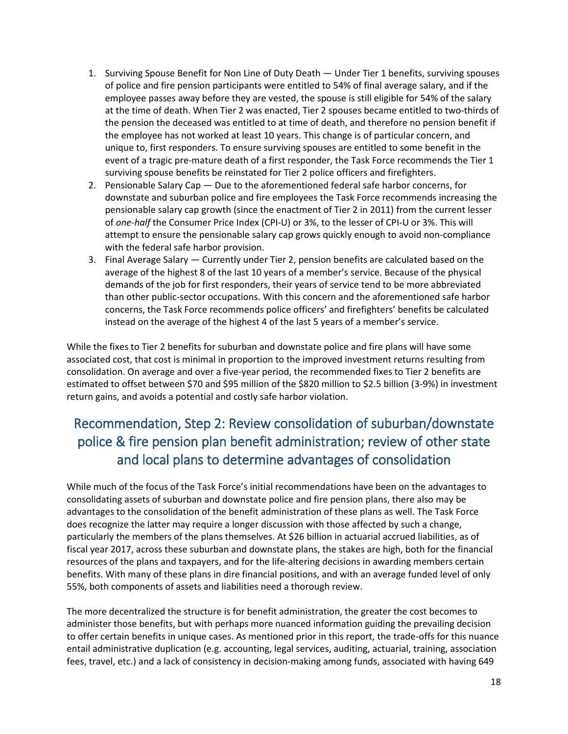- 1. Surviving Spouse Benefit for Non Line of Duty Death Under Tier 1 benefits, surviving spouses of police and fire pension participants were entitled to 54% of final average salary, and if the employee passes away before they are vested, the spouse is still eligible for 54% of the salary at the time of death. When Tier 2 was enacted, Tier 2 spouses became entitled to two-thirds of the pension the deceased was entitled to at time of death, and therefore no pension benefit if the employee has not worked at least 10 years. This change is of particular concern, and unique to, first responders. To ensure surviving spouses are entitled to some benefit in the event of a tragic pre-mature death of a first responder, the Task Force recommends the Tier 1 surviving spouse benefits be reinstated for Tier 2 police officers and firefighters.
- 2. Pensionable Salary Cap Due to the aforementioned federal safe harbor concerns, for downstate and suburban police and fire employees the Task Force recommends increasing the pensionable salary cap growth (since the enactment of Tier 2 in 2011) from the current lesser of *one-half* the Consumer Price Index (CPI-U) or 3%, to the lesser of CPI-U or 3%. This will attempt to ensure the pensionable salary cap grows quickly enough to avoid non-compliance with the federal safe harbor provision.
- 3. Final Average Salary Currently under Tier 2, pension benefits are calculated based on the average of the highest 8 of the last 10 years of a member's service. Because of the physical demands of the job for first responders, their years of service tend to be more abbreviated than other public-sector occupations. With this concern and the aforementioned safe harbor concerns, the Task Force recommends police officers' and firefighters' benefits be calculated instead on the average of the highest 4 of the last 5 years of a member's service.

While the fixes to Tier 2 benefits for suburban and downstate police and fire plans will have some associated cost, that cost is minimal in proportion to the improved investment returns resulting from consolidation. On average and over a five-year period, the recommended fixes to Tier 2 benefits are estimated to offset between \$70 and \$95 million of the \$820 million to \$2.5 billion (3-9%) in investment return gains, and avoids a potential and costly safe harbor violation.

# Recommendation, Step 2: Review consolidation of suburban/downstate police & fire pension plan benefit administration; review of other state and local plans to determine advantages of consolidation

While much of the focus of the Task Force's initial recommendations have been on the advantages to consolidating assets of suburban and downstate police and fire pension plans, there also may be advantages to the consolidation of the benefit administration of these plans as well. The Task Force does recognize the latter may require a longer discussion with those affected by such a change, particularly the members of the plans themselves. At \$26 billion in actuarial accrued liabilities, as of fiscal year 2017, across these suburban and downstate plans, the stakes are high, both for the financial resources of the plans and taxpayers, and for the life-altering decisions in awarding members certain benefits. With many of these plans in dire financial positions, and with an average funded level of only 55%, both components of assets and liabilities need a thorough review.

The more decentralized the structure is for benefit administration, the greater the cost becomes to administer those benefits, but with perhaps more nuanced information guiding the prevailing decision to offer certain benefits in unique cases. As mentioned prior in this report, the trade-offs for this nuance entail administrative duplication (e.g. accounting, legal services, auditing, actuarial, training, association fees, travel, etc.) and a lack of consistency in decision-making among funds, associated with having 649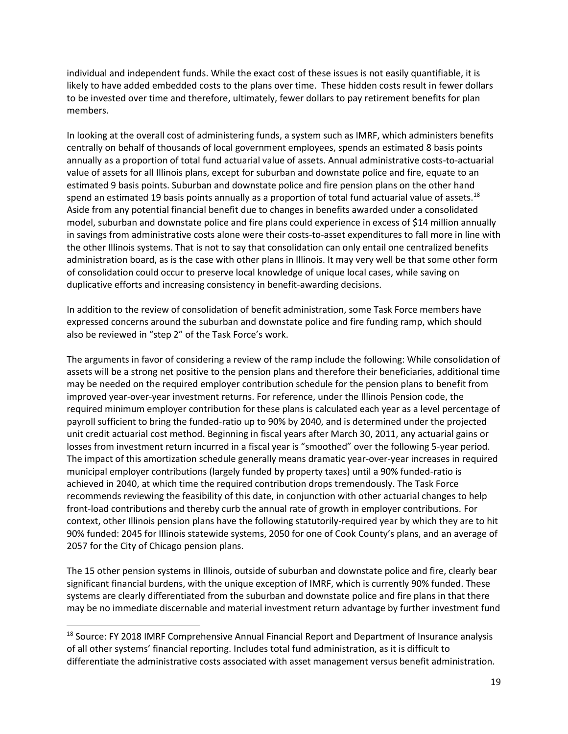individual and independent funds. While the exact cost of these issues is not easily quantifiable, it is likely to have added embedded costs to the plans over time. These hidden costs result in fewer dollars to be invested over time and therefore, ultimately, fewer dollars to pay retirement benefits for plan members.

In looking at the overall cost of administering funds, a system such as IMRF, which administers benefits centrally on behalf of thousands of local government employees, spends an estimated 8 basis points annually as a proportion of total fund actuarial value of assets. Annual administrative costs-to-actuarial value of assets for all Illinois plans, except for suburban and downstate police and fire, equate to an estimated 9 basis points. Suburban and downstate police and fire pension plans on the other hand spend an estimated 19 basis points annually as a proportion of total fund actuarial value of assets.<sup>18</sup> Aside from any potential financial benefit due to changes in benefits awarded under a consolidated model, suburban and downstate police and fire plans could experience in excess of \$14 million annually in savings from administrative costs alone were their costs-to-asset expenditures to fall more in line with the other Illinois systems. That is not to say that consolidation can only entail one centralized benefits administration board, as is the case with other plans in Illinois. It may very well be that some other form of consolidation could occur to preserve local knowledge of unique local cases, while saving on duplicative efforts and increasing consistency in benefit-awarding decisions.

In addition to the review of consolidation of benefit administration, some Task Force members have expressed concerns around the suburban and downstate police and fire funding ramp, which should also be reviewed in "step 2" of the Task Force's work.

The arguments in favor of considering a review of the ramp include the following: While consolidation of assets will be a strong net positive to the pension plans and therefore their beneficiaries, additional time may be needed on the required employer contribution schedule for the pension plans to benefit from improved year-over-year investment returns. For reference, under the Illinois Pension code, the required minimum employer contribution for these plans is calculated each year as a level percentage of payroll sufficient to bring the funded-ratio up to 90% by 2040, and is determined under the projected unit credit actuarial cost method. Beginning in fiscal years after March 30, 2011, any actuarial gains or losses from investment return incurred in a fiscal year is "smoothed" over the following 5-year period. The impact of this amortization schedule generally means dramatic year-over-year increases in required municipal employer contributions (largely funded by property taxes) until a 90% funded-ratio is achieved in 2040, at which time the required contribution drops tremendously. The Task Force recommends reviewing the feasibility of this date, in conjunction with other actuarial changes to help front-load contributions and thereby curb the annual rate of growth in employer contributions. For context, other Illinois pension plans have the following statutorily-required year by which they are to hit 90% funded: 2045 for Illinois statewide systems, 2050 for one of Cook County's plans, and an average of 2057 for the City of Chicago pension plans.

The 15 other pension systems in Illinois, outside of suburban and downstate police and fire, clearly bear significant financial burdens, with the unique exception of IMRF, which is currently 90% funded. These systems are clearly differentiated from the suburban and downstate police and fire plans in that there may be no immediate discernable and material investment return advantage by further investment fund

<sup>&</sup>lt;sup>18</sup> Source: FY 2018 IMRF Comprehensive Annual Financial Report and Department of Insurance analysis of all other systems' financial reporting. Includes total fund administration, as it is difficult to differentiate the administrative costs associated with asset management versus benefit administration.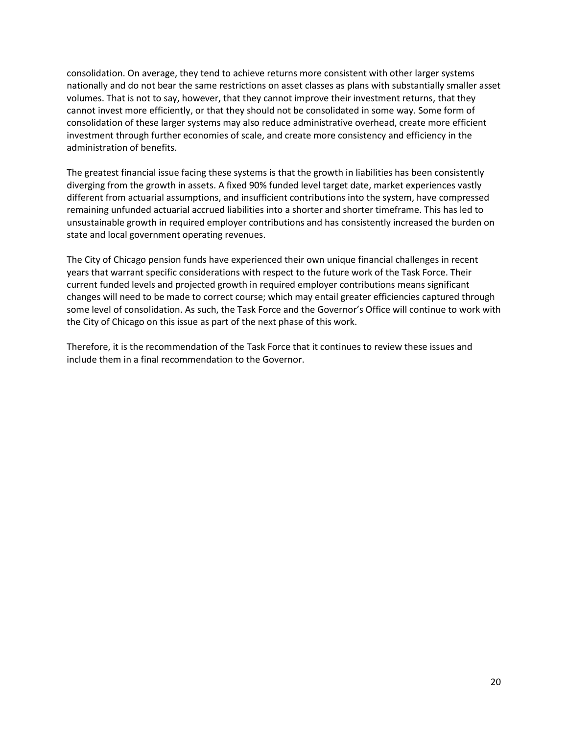consolidation. On average, they tend to achieve returns more consistent with other larger systems nationally and do not bear the same restrictions on asset classes as plans with substantially smaller asset volumes. That is not to say, however, that they cannot improve their investment returns, that they cannot invest more efficiently, or that they should not be consolidated in some way. Some form of consolidation of these larger systems may also reduce administrative overhead, create more efficient investment through further economies of scale, and create more consistency and efficiency in the administration of benefits.

The greatest financial issue facing these systems is that the growth in liabilities has been consistently diverging from the growth in assets. A fixed 90% funded level target date, market experiences vastly different from actuarial assumptions, and insufficient contributions into the system, have compressed remaining unfunded actuarial accrued liabilities into a shorter and shorter timeframe. This has led to unsustainable growth in required employer contributions and has consistently increased the burden on state and local government operating revenues.

The City of Chicago pension funds have experienced their own unique financial challenges in recent years that warrant specific considerations with respect to the future work of the Task Force. Their current funded levels and projected growth in required employer contributions means significant changes will need to be made to correct course; which may entail greater efficiencies captured through some level of consolidation. As such, the Task Force and the Governor's Office will continue to work with the City of Chicago on this issue as part of the next phase of this work.

Therefore, it is the recommendation of the Task Force that it continues to review these issues and include them in a final recommendation to the Governor.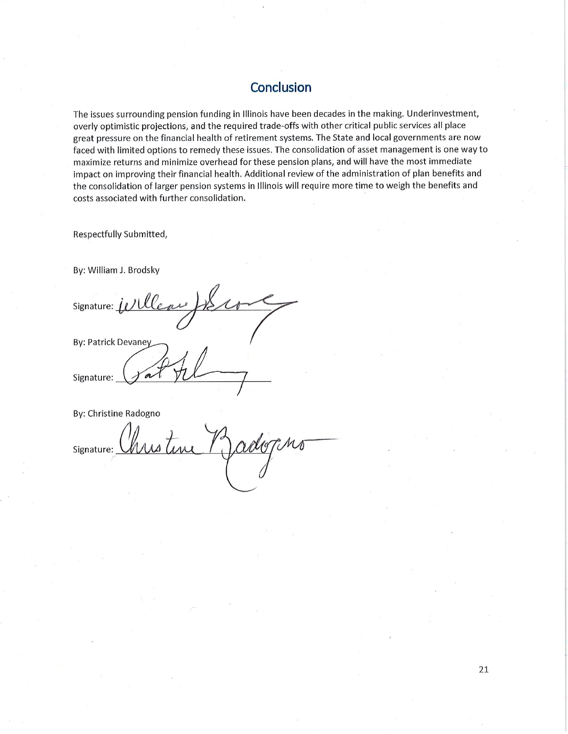### Conclusion

The issues surrounding pension funding in Illinois have been decades in the making. Underinvestment, overly optimistic projections, and the required trade-offs with other critical public services all place great pressure on the financial health of retirement systems. The State and local governments are now faced with limited options to remedy these issues. The consolidation of asset management is one way to maximize returns and minimize overhead for these pension plans, and will have the most immediate impact on improving their financial health. Additional review of the administration of plan benefits and the consolidation of larger pension systems in Illinois will require more time to weigh the benefits and costs associated with further consolidation.

Respectfully Submitted,

By: William J. Brodsky

Signature: Willew By: Patrick Devaney  $\sim$ Signature:

By: Christine Radogno

Signature: